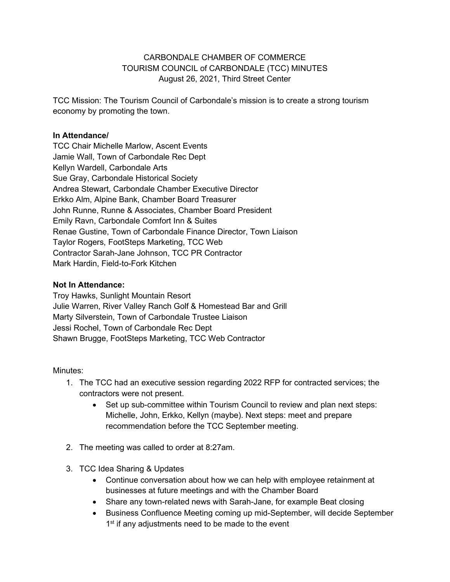#### CARBONDALE CHAMBER OF COMMERCE TOURISM COUNCIL of CARBONDALE (TCC) MINUTES August 26, 2021, Third Street Center

TCC Mission: The Tourism Council of Carbondale's mission is to create a strong tourism economy by promoting the town.

#### **In Attendance/**

TCC Chair Michelle Marlow, Ascent Events Jamie Wall, Town of Carbondale Rec Dept Kellyn Wardell, Carbondale Arts Sue Gray, Carbondale Historical Society Andrea Stewart, Carbondale Chamber Executive Director Erkko Alm, Alpine Bank, Chamber Board Treasurer John Runne, Runne & Associates, Chamber Board President Emily Ravn, Carbondale Comfort Inn & Suites Renae Gustine, Town of Carbondale Finance Director, Town Liaison Taylor Rogers, FootSteps Marketing, TCC Web Contractor Sarah-Jane Johnson, TCC PR Contractor Mark Hardin, Field-to-Fork Kitchen

#### **Not In Attendance:**

Troy Hawks, Sunlight Mountain Resort Julie Warren, River Valley Ranch Golf & Homestead Bar and Grill Marty Silverstein, Town of Carbondale Trustee Liaison Jessi Rochel, Town of Carbondale Rec Dept Shawn Brugge, FootSteps Marketing, TCC Web Contractor

#### Minutes:

- 1. The TCC had an executive session regarding 2022 RFP for contracted services; the contractors were not present.
	- Set up sub-committee within Tourism Council to review and plan next steps: Michelle, John, Erkko, Kellyn (maybe). Next steps: meet and prepare recommendation before the TCC September meeting.
- 2. The meeting was called to order at 8:27am.
- 3. TCC Idea Sharing & Updates
	- Continue conversation about how we can help with employee retainment at businesses at future meetings and with the Chamber Board
	- Share any town-related news with Sarah-Jane, for example Beat closing
	- Business Confluence Meeting coming up mid-September, will decide September  $1<sup>st</sup>$  if any adjustments need to be made to the event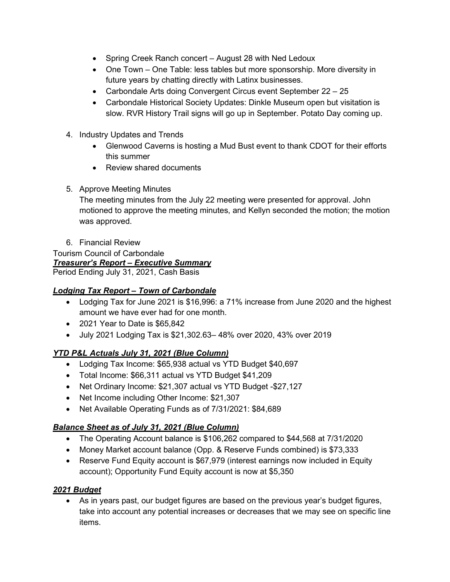- Spring Creek Ranch concert August 28 with Ned Ledoux
- One Town One Table: less tables but more sponsorship. More diversity in future years by chatting directly with Latinx businesses.
- Carbondale Arts doing Convergent Circus event September 22 25
- Carbondale Historical Society Updates: Dinkle Museum open but visitation is slow. RVR History Trail signs will go up in September. Potato Day coming up.
- 4. Industry Updates and Trends
	- Glenwood Caverns is hosting a Mud Bust event to thank CDOT for their efforts this summer
	- Review shared documents
- 5. Approve Meeting Minutes

The meeting minutes from the July 22 meeting were presented for approval. John motioned to approve the meeting minutes, and Kellyn seconded the motion; the motion was approved.

6. Financial Review

Tourism Council of Carbondale *Treasurer's Report – Executive Summary* Period Ending July 31, 2021, Cash Basis

# *Lodging Tax Report – Town of Carbondale*

- Lodging Tax for June 2021 is \$16,996: a 71% increase from June 2020 and the highest amount we have ever had for one month.
- 2021 Year to Date is \$65,842
- July 2021 Lodging Tax is \$21,302.63– 48% over 2020, 43% over 2019

# *YTD P&L Actuals July 31, 2021 (Blue Column)*

- Lodging Tax Income: \$65,938 actual vs YTD Budget \$40,697
- Total Income: \$66,311 actual vs YTD Budget \$41,209
- Net Ordinary Income: \$21,307 actual vs YTD Budget -\$27,127
- Net Income including Other Income: \$21,307
- Net Available Operating Funds as of 7/31/2021: \$84,689

# *Balance Sheet as of July 31, 2021 (Blue Column)*

- The Operating Account balance is \$106,262 compared to \$44,568 at 7/31/2020
- Money Market account balance (Opp. & Reserve Funds combined) is \$73,333
- Reserve Fund Equity account is \$67,979 (interest earnings now included in Equity account); Opportunity Fund Equity account is now at \$5,350

# *2021 Budget*

• As in years past, our budget figures are based on the previous year's budget figures, take into account any potential increases or decreases that we may see on specific line items.